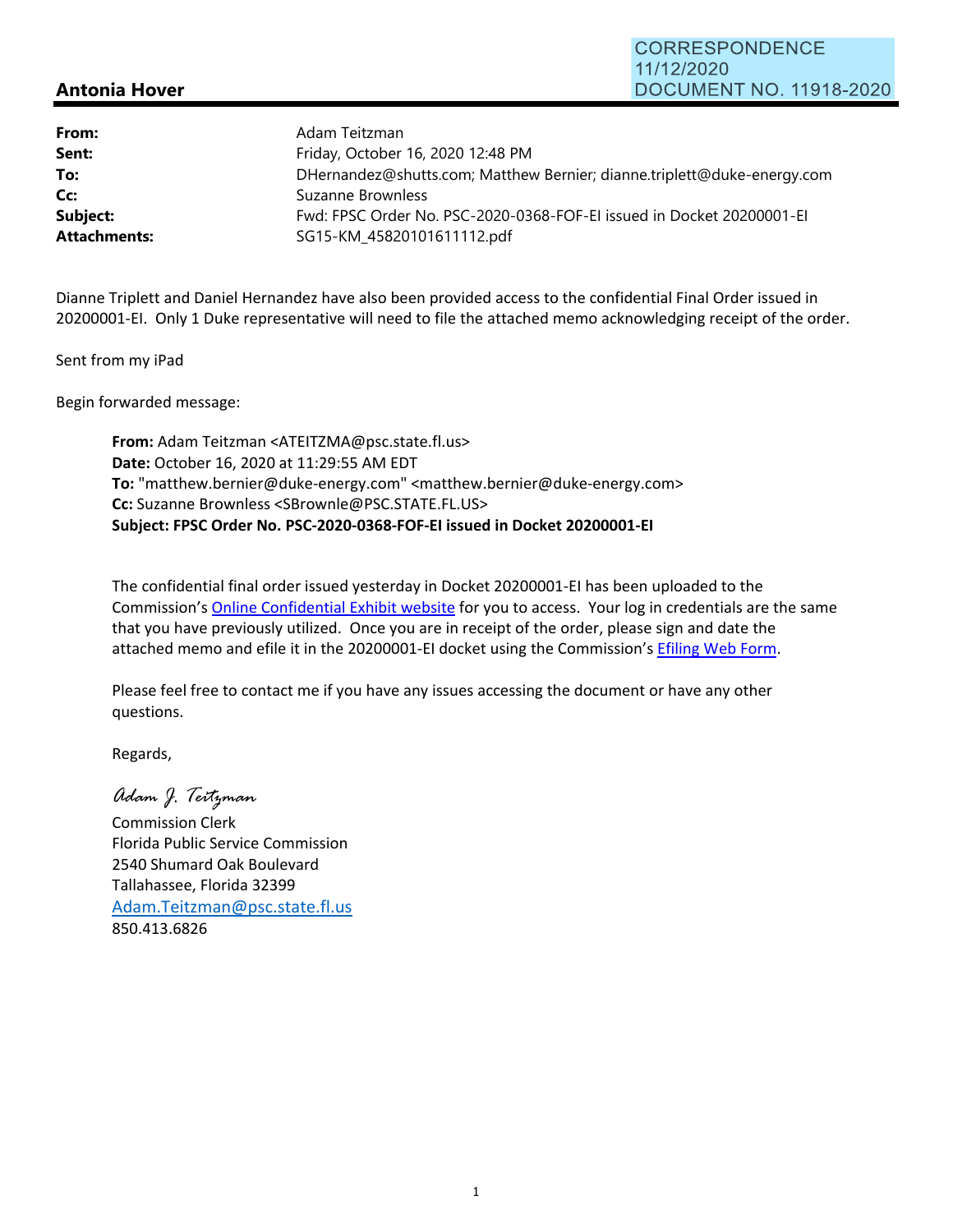**CORRESPONDENCE** 11/12/2020 **DOCUMENT NO. 11918-2020** 

## **Antonia Hover**

| Adam Teitzman                                                           |
|-------------------------------------------------------------------------|
| Friday, October 16, 2020 12:48 PM                                       |
| DHernandez@shutts.com; Matthew Bernier; dianne.triplett@duke-energy.com |
| Suzanne Brownless                                                       |
| Fwd: FPSC Order No. PSC-2020-0368-FOF-EI issued in Docket 20200001-EI   |
| SG15-KM 45820101611112.pdf                                              |
|                                                                         |

Dianne Triplett and Daniel Hernandez have also been provided access to the confidential Final Order issued in 20200001‐EI. Only 1 Duke representative will need to file the attached memo acknowledging receipt of the order.

Sent from my iPad

Begin forwarded message:

**From:** Adam Teitzman <ATEITZMA@psc.state.fl.us> **Date:** October 16, 2020 at 11:29:55 AM EDT **To:** "matthew.bernier@duke‐energy.com" <matthew.bernier@duke‐energy.com> **Cc:** Suzanne Brownless <SBrownle@PSC.STATE.FL.US> **Subject: FPSC Order No. PSC‐2020‐0368‐FOF‐EI issued in Docket 20200001‐EI**

The confidential final order issued yesterday in Docket 20200001‐EI has been uploaded to the Commission's Online Confidential Exhibit website for you to access. Your log in credentials are the same that you have previously utilized. Once you are in receipt of the order, please sign and date the attached memo and efile it in the 20200001-EI docket using the Commission's Efiling Web Form.

Please feel free to contact me if you have any issues accessing the document or have any other questions.

Regards,

*Adam J. Teitzman*

Commission Clerk Florida Public Service Commission 2540 Shumard Oak Boulevard Tallahassee, Florida 32399 Adam.Teitzman@psc.state.fl.us 850.413.6826